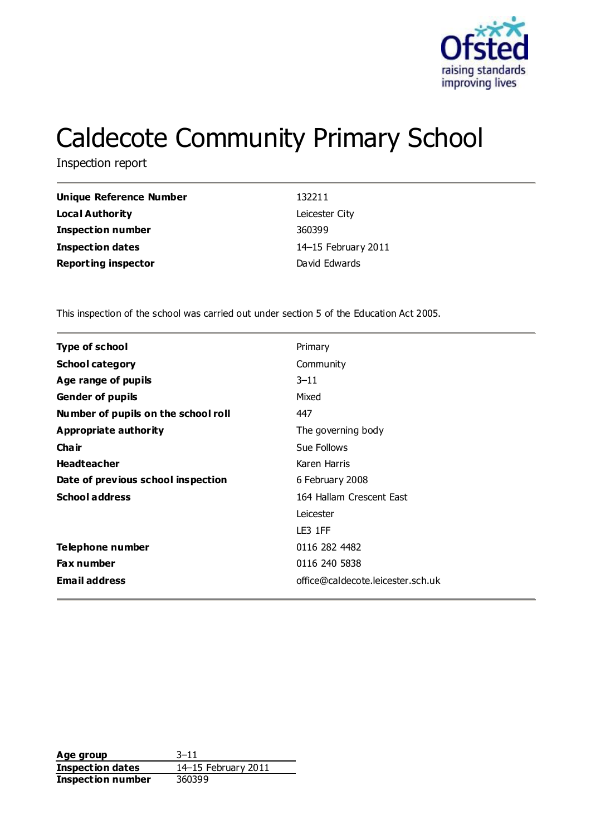

# Caldecote Community Primary School

Inspection report

| Unique Reference Number    | 132211              |
|----------------------------|---------------------|
| Local Authority            | Leicester City      |
| <b>Inspection number</b>   | 360399              |
| <b>Inspection dates</b>    | 14-15 February 2011 |
| <b>Reporting inspector</b> | David Edwards       |

This inspection of the school was carried out under section 5 of the Education Act 2005.

| <b>Type of school</b>               | Primary                           |
|-------------------------------------|-----------------------------------|
| <b>School category</b>              | Community                         |
| Age range of pupils                 | $3 - 11$                          |
| <b>Gender of pupils</b>             | Mixed                             |
| Number of pupils on the school roll | 447                               |
| <b>Appropriate authority</b>        | The governing body                |
| Cha ir                              | Sue Follows                       |
| <b>Headteacher</b>                  | Karen Harris                      |
| Date of previous school inspection  | 6 February 2008                   |
| <b>School address</b>               | 164 Hallam Crescent East          |
|                                     | Leicester                         |
|                                     | LE3 1FF                           |
| Telephone number                    | 0116 282 4482                     |
| Fax number                          | 0116 240 5838                     |
| <b>Email address</b>                | office@caldecote.leicester.sch.uk |
|                                     |                                   |

**Age group** 3–11 **Inspection dates** 14–15 February 2011 **Inspection number** 360399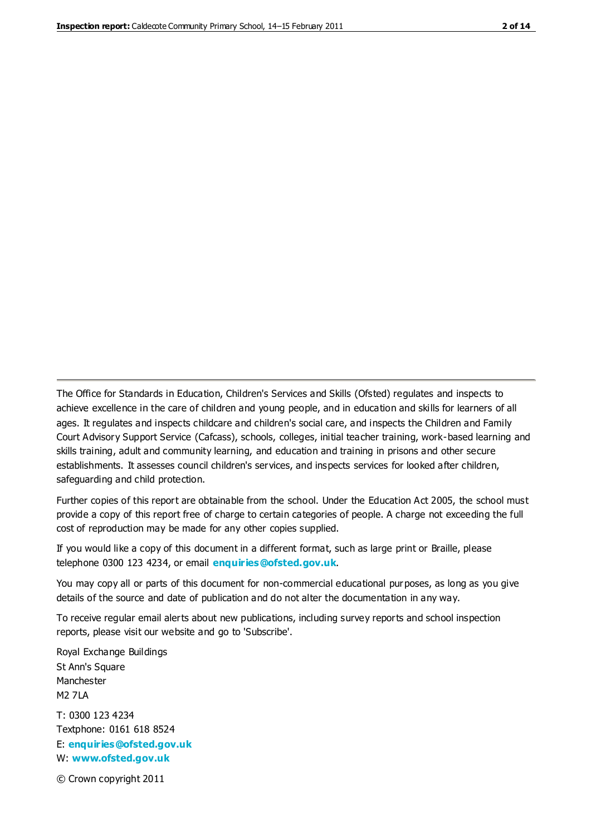The Office for Standards in Education, Children's Services and Skills (Ofsted) regulates and inspects to achieve excellence in the care of children and young people, and in education and skills for learners of all ages. It regulates and inspects childcare and children's social care, and inspects the Children and Family Court Advisory Support Service (Cafcass), schools, colleges, initial teacher training, work-based learning and skills training, adult and community learning, and education and training in prisons and other secure establishments. It assesses council children's services, and inspects services for looked after children, safeguarding and child protection.

Further copies of this report are obtainable from the school. Under the Education Act 2005, the school must provide a copy of this report free of charge to certain categories of people. A charge not exceeding the full cost of reproduction may be made for any other copies supplied.

If you would like a copy of this document in a different format, such as large print or Braille, please telephone 0300 123 4234, or email **[enquiries@ofsted.gov.uk](mailto:enquiries@ofsted.gov.uk)**.

You may copy all or parts of this document for non-commercial educational purposes, as long as you give details of the source and date of publication and do not alter the documentation in any way.

To receive regular email alerts about new publications, including survey reports and school inspection reports, please visit our website and go to 'Subscribe'.

Royal Exchange Buildings St Ann's Square Manchester M2 7LA T: 0300 123 4234 Textphone: 0161 618 8524 E: **[enquiries@ofsted.gov.uk](mailto:enquiries@ofsted.gov.uk)**

W: **[www.ofsted.gov.uk](http://www.ofsted.gov.uk/)**

© Crown copyright 2011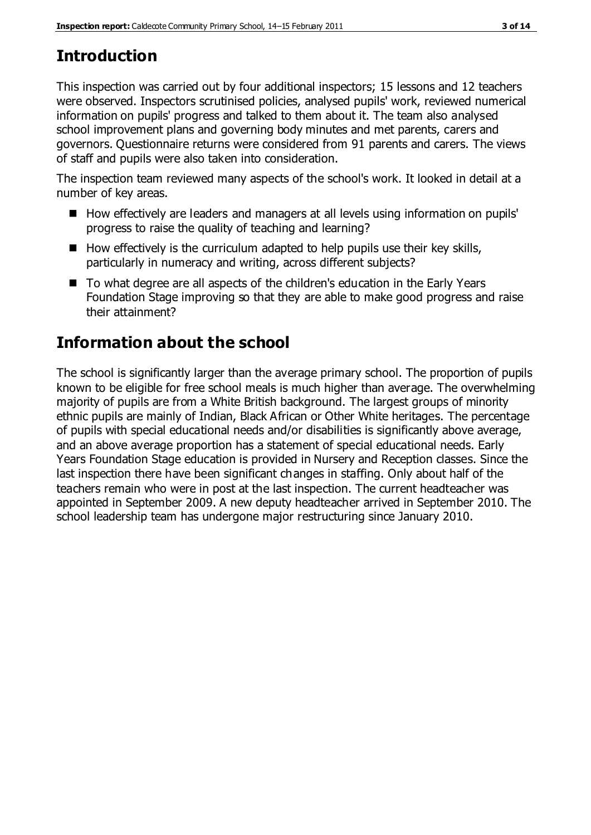# **Introduction**

This inspection was carried out by four additional inspectors; 15 lessons and 12 teachers were observed. Inspectors scrutinised policies, analysed pupils' work, reviewed numerical information on pupils' progress and talked to them about it. The team also analysed school improvement plans and governing body minutes and met parents, carers and governors. Questionnaire returns were considered from 91 parents and carers. The views of staff and pupils were also taken into consideration.

The inspection team reviewed many aspects of the school's work. It looked in detail at a number of key areas.

- How effectively are leaders and managers at all levels using information on pupils' progress to raise the quality of teaching and learning?
- $\blacksquare$  How effectively is the curriculum adapted to help pupils use their key skills, particularly in numeracy and writing, across different subjects?
- To what degree are all aspects of the children's education in the Early Years Foundation Stage improving so that they are able to make good progress and raise their attainment?

# **Information about the school**

The school is significantly larger than the average primary school. The proportion of pupils known to be eligible for free school meals is much higher than average. The overwhelming majority of pupils are from a White British background. The largest groups of minority ethnic pupils are mainly of Indian, Black African or Other White heritages. The percentage of pupils with special educational needs and/or disabilities is significantly above average, and an above average proportion has a statement of special educational needs. Early Years Foundation Stage education is provided in Nursery and Reception classes. Since the last inspection there have been significant changes in staffing. Only about half of the teachers remain who were in post at the last inspection. The current headteacher was appointed in September 2009. A new deputy headteacher arrived in September 2010. The school leadership team has undergone major restructuring since January 2010.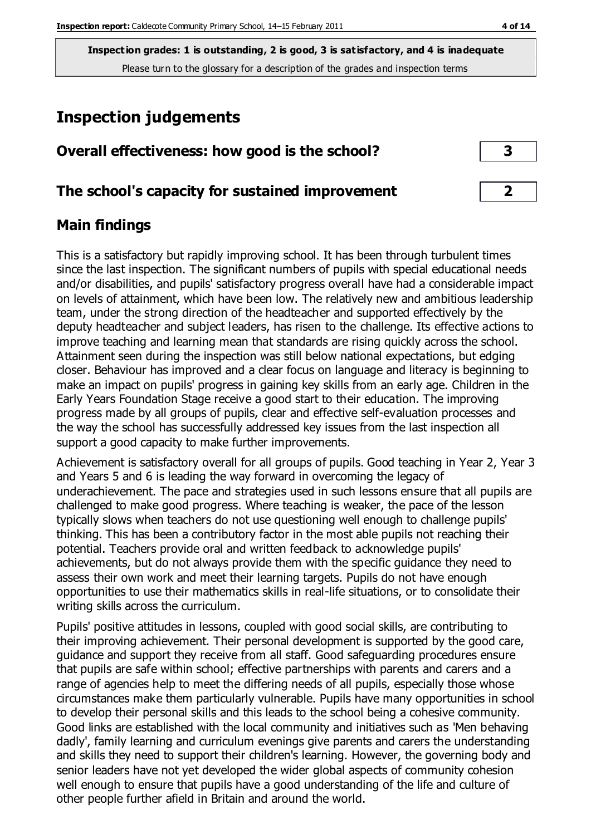# **Inspection judgements**

| Overall effectiveness: how good is the school? |  |
|------------------------------------------------|--|
|------------------------------------------------|--|

#### **The school's capacity for sustained improvement 2**

#### **Main findings**

This is a satisfactory but rapidly improving school. It has been through turbulent times since the last inspection. The significant numbers of pupils with special educational needs and/or disabilities, and pupils' satisfactory progress overall have had a considerable impact on levels of attainment, which have been low. The relatively new and ambitious leadership team, under the strong direction of the headteacher and supported effectively by the deputy headteacher and subject leaders, has risen to the challenge. Its effective actions to improve teaching and learning mean that standards are rising quickly across the school. Attainment seen during the inspection was still below national expectations, but edging closer. Behaviour has improved and a clear focus on language and literacy is beginning to make an impact on pupils' progress in gaining key skills from an early age. Children in the Early Years Foundation Stage receive a good start to their education. The improving progress made by all groups of pupils, clear and effective self-evaluation processes and the way the school has successfully addressed key issues from the last inspection all support a good capacity to make further improvements.

Achievement is satisfactory overall for all groups of pupils. Good teaching in Year 2, Year 3 and Years 5 and 6 is leading the way forward in overcoming the legacy of underachievement. The pace and strategies used in such lessons ensure that all pupils are challenged to make good progress. Where teaching is weaker, the pace of the lesson typically slows when teachers do not use questioning well enough to challenge pupils' thinking. This has been a contributory factor in the most able pupils not reaching their potential. Teachers provide oral and written feedback to acknowledge pupils' achievements, but do not always provide them with the specific guidance they need to assess their own work and meet their learning targets. Pupils do not have enough opportunities to use their mathematics skills in real-life situations, or to consolidate their writing skills across the curriculum.

Pupils' positive attitudes in lessons, coupled with good social skills, are contributing to their improving achievement. Their personal development is supported by the good care, guidance and support they receive from all staff. Good safeguarding procedures ensure that pupils are safe within school; effective partnerships with parents and carers and a range of agencies help to meet the differing needs of all pupils, especially those whose circumstances make them particularly vulnerable. Pupils have many opportunities in school to develop their personal skills and this leads to the school being a cohesive community. Good links are established with the local community and initiatives such as 'Men behaving dadly', family learning and curriculum evenings give parents and carers the understanding and skills they need to support their children's learning. However, the governing body and senior leaders have not yet developed the wider global aspects of community cohesion well enough to ensure that pupils have a good understanding of the life and culture of other people further afield in Britain and around the world.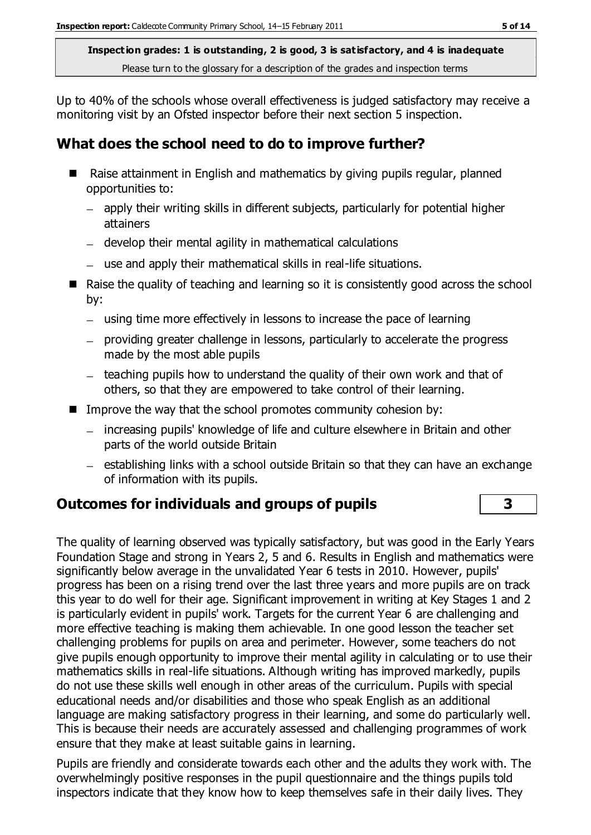Up to 40% of the schools whose overall effectiveness is judged satisfactory may receive a monitoring visit by an Ofsted inspector before their next section 5 inspection.

### **What does the school need to do to improve further?**

- Raise attainment in English and mathematics by giving pupils regular, planned opportunities to:
	- apply their writing skills in different subjects, particularly for potential higher attainers
	- develop their mental agility in mathematical calculations
	- use and apply their mathematical skills in real-life situations.
- Raise the quality of teaching and learning so it is consistently good across the school by:
	- using time more effectively in lessons to increase the pace of learning
	- providing greater challenge in lessons, particularly to accelerate the progress made by the most able pupils
	- teaching pupils how to understand the quality of their own work and that of others, so that they are empowered to take control of their learning.
- Improve the way that the school promotes community cohesion by:
	- increasing pupils' knowledge of life and culture elsewhere in Britain and other parts of the world outside Britain
	- $-$  establishing links with a school outside Britain so that they can have an exchange of information with its pupils.

### **Outcomes for individuals and groups of pupils 3**

The quality of learning observed was typically satisfactory, but was good in the Early Years Foundation Stage and strong in Years 2, 5 and 6. Results in English and mathematics were significantly below average in the unvalidated Year 6 tests in 2010. However, pupils' progress has been on a rising trend over the last three years and more pupils are on track this year to do well for their age. Significant improvement in writing at Key Stages 1 and 2 is particularly evident in pupils' work. Targets for the current Year 6 are challenging and more effective teaching is making them achievable. In one good lesson the teacher set challenging problems for pupils on area and perimeter. However, some teachers do not give pupils enough opportunity to improve their mental agility in calculating or to use their mathematics skills in real-life situations. Although writing has improved markedly, pupils do not use these skills well enough in other areas of the curriculum. Pupils with special educational needs and/or disabilities and those who speak English as an additional language are making satisfactory progress in their learning, and some do particularly well. This is because their needs are accurately assessed and challenging programmes of work ensure that they make at least suitable gains in learning.

Pupils are friendly and considerate towards each other and the adults they work with. The overwhelmingly positive responses in the pupil questionnaire and the things pupils told inspectors indicate that they know how to keep themselves safe in their daily lives. They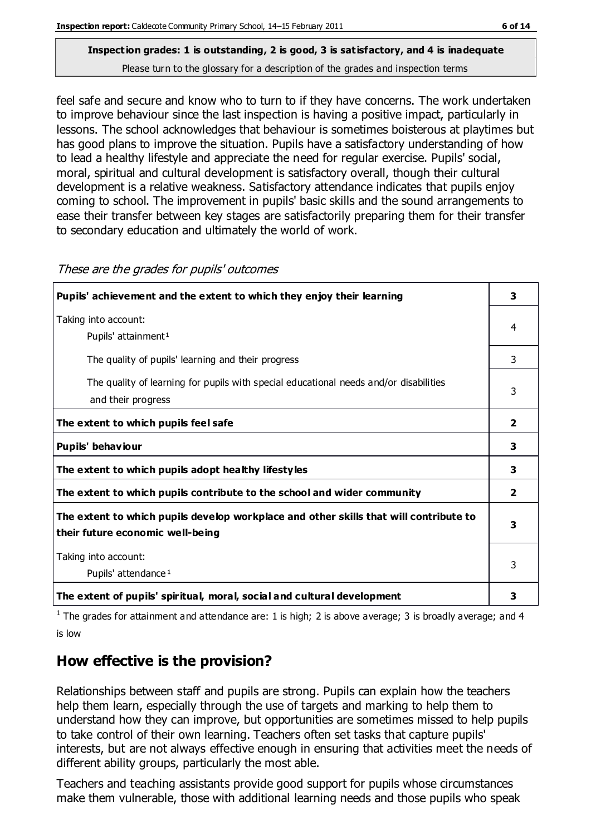feel safe and secure and know who to turn to if they have concerns. The work undertaken to improve behaviour since the last inspection is having a positive impact, particularly in lessons. The school acknowledges that behaviour is sometimes boisterous at playtimes but has good plans to improve the situation. Pupils have a satisfactory understanding of how to lead a healthy lifestyle and appreciate the need for regular exercise. Pupils' social, moral, spiritual and cultural development is satisfactory overall, though their cultural development is a relative weakness. Satisfactory attendance indicates that pupils enjoy coming to school. The improvement in pupils' basic skills and the sound arrangements to ease their transfer between key stages are satisfactorily preparing them for their transfer to secondary education and ultimately the world of work.

| Pupils' achievement and the extent to which they enjoy their learning                                                     | 3            |
|---------------------------------------------------------------------------------------------------------------------------|--------------|
| Taking into account:<br>Pupils' attainment <sup>1</sup>                                                                   | 4            |
| The quality of pupils' learning and their progress                                                                        | 3            |
| The quality of learning for pupils with special educational needs and/or disabilities<br>and their progress               | 3            |
| The extent to which pupils feel safe                                                                                      | 2            |
| Pupils' behaviour                                                                                                         | 3            |
| The extent to which pupils adopt healthy lifestyles                                                                       | 3            |
| The extent to which pupils contribute to the school and wider community                                                   | $\mathbf{2}$ |
| The extent to which pupils develop workplace and other skills that will contribute to<br>their future economic well-being | 3            |
| Taking into account:<br>Pupils' attendance <sup>1</sup>                                                                   | 3            |
| The extent of pupils' spiritual, moral, social and cultural development                                                   | 3            |

These are the grades for pupils' outcomes

<sup>1</sup> The grades for attainment and attendance are: 1 is high; 2 is above average; 3 is broadly average; and 4 is low

### **How effective is the provision?**

Relationships between staff and pupils are strong. Pupils can explain how the teachers help them learn, especially through the use of targets and marking to help them to understand how they can improve, but opportunities are sometimes missed to help pupils to take control of their own learning. Teachers often set tasks that capture pupils' interests, but are not always effective enough in ensuring that activities meet the needs of different ability groups, particularly the most able.

Teachers and teaching assistants provide good support for pupils whose circumstances make them vulnerable, those with additional learning needs and those pupils who speak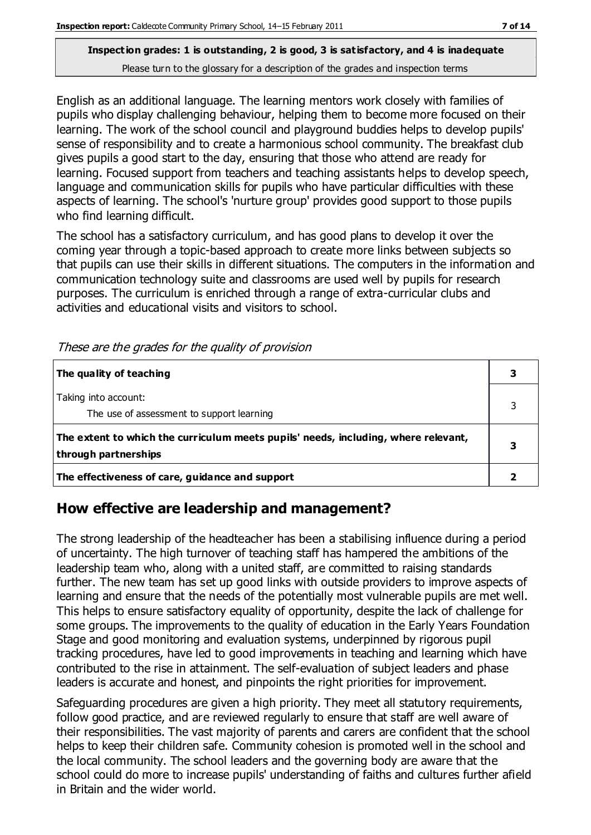English as an additional language. The learning mentors work closely with families of pupils who display challenging behaviour, helping them to become more focused on their learning. The work of the school council and playground buddies helps to develop pupils' sense of responsibility and to create a harmonious school community. The breakfast club gives pupils a good start to the day, ensuring that those who attend are ready for learning. Focused support from teachers and teaching assistants helps to develop speech, language and communication skills for pupils who have particular difficulties with these aspects of learning. The school's 'nurture group' provides good support to those pupils who find learning difficult.

The school has a satisfactory curriculum, and has good plans to develop it over the coming year through a topic-based approach to create more links between subjects so that pupils can use their skills in different situations. The computers in the information and communication technology suite and classrooms are used well by pupils for research purposes. The curriculum is enriched through a range of extra-curricular clubs and activities and educational visits and visitors to school.

| The quality of teaching                                                                                    |  |
|------------------------------------------------------------------------------------------------------------|--|
| Taking into account:<br>The use of assessment to support learning                                          |  |
| The extent to which the curriculum meets pupils' needs, including, where relevant,<br>through partnerships |  |
| The effectiveness of care, guidance and support                                                            |  |

These are the grades for the quality of provision

#### **How effective are leadership and management?**

The strong leadership of the headteacher has been a stabilising influence during a period of uncertainty. The high turnover of teaching staff has hampered the ambitions of the leadership team who, along with a united staff, are committed to raising standards further. The new team has set up good links with outside providers to improve aspects of learning and ensure that the needs of the potentially most vulnerable pupils are met well. This helps to ensure satisfactory equality of opportunity, despite the lack of challenge for some groups. The improvements to the quality of education in the Early Years Foundation Stage and good monitoring and evaluation systems, underpinned by rigorous pupil tracking procedures, have led to good improvements in teaching and learning which have contributed to the rise in attainment. The self-evaluation of subject leaders and phase leaders is accurate and honest, and pinpoints the right priorities for improvement.

Safeguarding procedures are given a high priority. They meet all statutory requirements, follow good practice, and are reviewed regularly to ensure that staff are well aware of their responsibilities. The vast majority of parents and carers are confident that the school helps to keep their children safe. Community cohesion is promoted well in the school and the local community. The school leaders and the governing body are aware that the school could do more to increase pupils' understanding of faiths and cultures further afield in Britain and the wider world.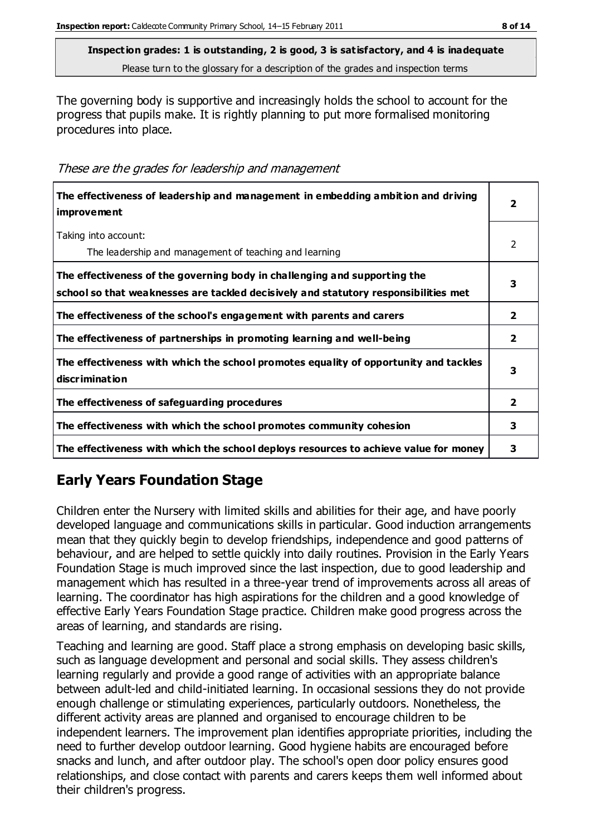The governing body is supportive and increasingly holds the school to account for the progress that pupils make. It is rightly planning to put more formalised monitoring procedures into place.

These are the grades for leadership and management

| The effectiveness of leadership and management in embedding ambition and driving<br><i>improvement</i>                                                           |                |
|------------------------------------------------------------------------------------------------------------------------------------------------------------------|----------------|
| Taking into account:<br>The leadership and management of teaching and learning                                                                                   | $\mathcal{P}$  |
| The effectiveness of the governing body in challenging and supporting the<br>school so that weaknesses are tackled decisively and statutory responsibilities met | 3              |
| The effectiveness of the school's engagement with parents and carers                                                                                             | $\overline{2}$ |
| The effectiveness of partnerships in promoting learning and well-being                                                                                           | $\overline{2}$ |
| The effectiveness with which the school promotes equality of opportunity and tackles<br>discrimination                                                           | 3              |
| The effectiveness of safeguarding procedures                                                                                                                     | $\overline{2}$ |
| The effectiveness with which the school promotes community cohesion                                                                                              | 3              |
| The effectiveness with which the school deploys resources to achieve value for money                                                                             | з              |

### **Early Years Foundation Stage**

Children enter the Nursery with limited skills and abilities for their age, and have poorly developed language and communications skills in particular. Good induction arrangements mean that they quickly begin to develop friendships, independence and good patterns of behaviour, and are helped to settle quickly into daily routines. Provision in the Early Years Foundation Stage is much improved since the last inspection, due to good leadership and management which has resulted in a three-year trend of improvements across all areas of learning. The coordinator has high aspirations for the children and a good knowledge of effective Early Years Foundation Stage practice. Children make good progress across the areas of learning, and standards are rising.

Teaching and learning are good. Staff place a strong emphasis on developing basic skills, such as language development and personal and social skills. They assess children's learning regularly and provide a good range of activities with an appropriate balance between adult-led and child-initiated learning. In occasional sessions they do not provide enough challenge or stimulating experiences, particularly outdoors. Nonetheless, the different activity areas are planned and organised to encourage children to be independent learners. The improvement plan identifies appropriate priorities, including the need to further develop outdoor learning. Good hygiene habits are encouraged before snacks and lunch, and after outdoor play. The school's open door policy ensures good relationships, and close contact with parents and carers keeps them well informed about their children's progress.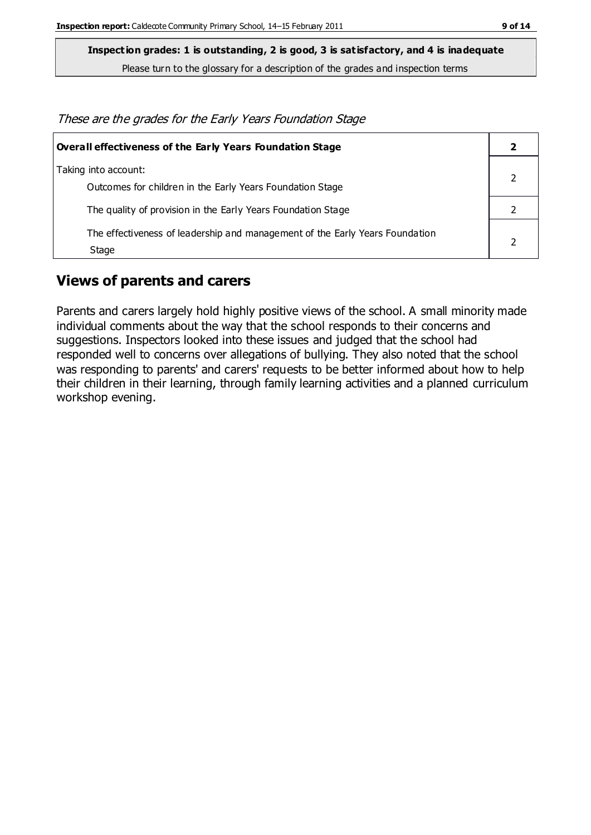**Inspection grades: 1 is outstanding, 2 is good, 3 is satisfactory, and 4 is inadequate**

Please turn to the glossary for a description of the grades and inspection terms

These are the grades for the Early Years Foundation Stage

| Overall effectiveness of the Early Years Foundation Stage                             |  |
|---------------------------------------------------------------------------------------|--|
| Taking into account:<br>Outcomes for children in the Early Years Foundation Stage     |  |
| The quality of provision in the Early Years Foundation Stage                          |  |
| The effectiveness of leadership and management of the Early Years Foundation<br>Stage |  |

#### **Views of parents and carers**

Parents and carers largely hold highly positive views of the school. A small minority made individual comments about the way that the school responds to their concerns and suggestions. Inspectors looked into these issues and judged that the school had responded well to concerns over allegations of bullying. They also noted that the school was responding to parents' and carers' requests to be better informed about how to help their children in their learning, through family learning activities and a planned curriculum workshop evening.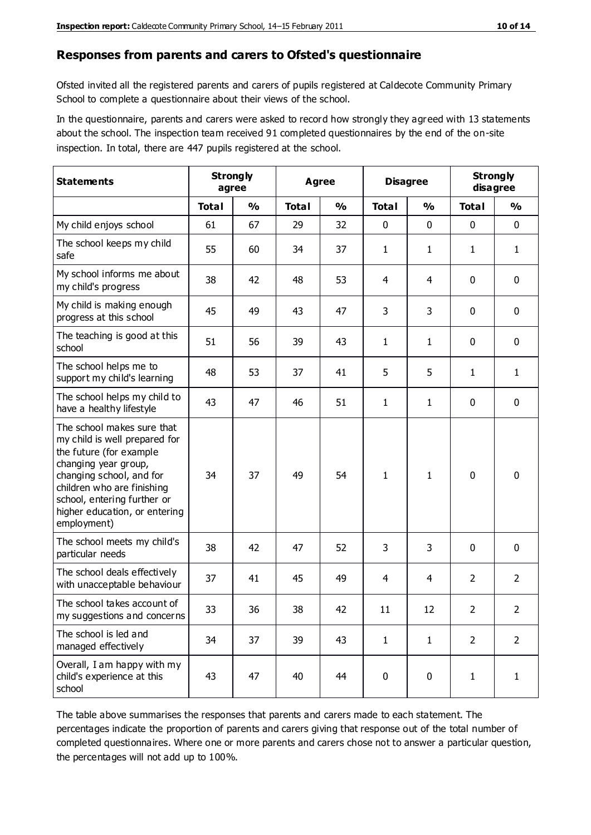#### **Responses from parents and carers to Ofsted's questionnaire**

Ofsted invited all the registered parents and carers of pupils registered at Caldecote Community Primary School to complete a questionnaire about their views of the school.

In the questionnaire, parents and carers were asked to record how strongly they agreed with 13 statements about the school. The inspection team received 91 completed questionnaires by the end of the on-site inspection. In total, there are 447 pupils registered at the school.

| <b>Statements</b>                                                                                                                                                                                                                                       |              | <b>Strongly</b><br>agree |              | Agree         |              | <b>Disagree</b> | <b>Strongly</b> | disagree       |
|---------------------------------------------------------------------------------------------------------------------------------------------------------------------------------------------------------------------------------------------------------|--------------|--------------------------|--------------|---------------|--------------|-----------------|-----------------|----------------|
|                                                                                                                                                                                                                                                         | <b>Total</b> | $\frac{0}{0}$            | <b>Total</b> | $\frac{0}{0}$ | <b>Total</b> | $\frac{0}{0}$   | <b>Total</b>    | $\frac{0}{0}$  |
| My child enjoys school                                                                                                                                                                                                                                  | 61           | 67                       | 29           | 32            | 0            | $\mathbf 0$     | 0               | $\mathbf 0$    |
| The school keeps my child<br>safe                                                                                                                                                                                                                       | 55           | 60                       | 34           | 37            | $\mathbf{1}$ | 1               | $\mathbf{1}$    | $\mathbf{1}$   |
| My school informs me about<br>my child's progress                                                                                                                                                                                                       | 38           | 42                       | 48           | 53            | 4            | 4               | $\mathbf{0}$    | $\mathbf 0$    |
| My child is making enough<br>progress at this school                                                                                                                                                                                                    | 45           | 49                       | 43           | 47            | 3            | 3               | 0               | $\mathbf 0$    |
| The teaching is good at this<br>school                                                                                                                                                                                                                  | 51           | 56                       | 39           | 43            | $\mathbf{1}$ | 1               | 0               | $\mathbf 0$    |
| The school helps me to<br>support my child's learning                                                                                                                                                                                                   | 48           | 53                       | 37           | 41            | 5            | 5               | 1               | $\mathbf{1}$   |
| The school helps my child to<br>have a healthy lifestyle                                                                                                                                                                                                | 43           | 47                       | 46           | 51            | $\mathbf{1}$ | 1               | 0               | $\mathbf 0$    |
| The school makes sure that<br>my child is well prepared for<br>the future (for example<br>changing year group,<br>changing school, and for<br>children who are finishing<br>school, entering further or<br>higher education, or entering<br>employment) | 34           | 37                       | 49           | 54            | $\mathbf{1}$ | 1               | $\mathbf 0$     | $\mathbf 0$    |
| The school meets my child's<br>particular needs                                                                                                                                                                                                         | 38           | 42                       | 47           | 52            | 3            | 3               | $\mathbf{0}$    | $\mathbf 0$    |
| The school deals effectively<br>with unacceptable behaviour                                                                                                                                                                                             | 37           | 41                       | 45           | 49            | 4            | 4               | $\overline{2}$  | $\overline{2}$ |
| The school takes account of<br>my suggestions and concerns                                                                                                                                                                                              | 33           | 36                       | 38           | 42            | 11           | 12              | 2               | 2              |
| The school is led and<br>managed effectively                                                                                                                                                                                                            | 34           | 37                       | 39           | 43            | $\mathbf{1}$ | $\mathbf{1}$    | $\overline{2}$  | $\overline{2}$ |
| Overall, I am happy with my<br>child's experience at this<br>school                                                                                                                                                                                     | 43           | 47                       | 40           | 44            | $\pmb{0}$    | $\mathbf 0$     | $\mathbf{1}$    | $\mathbf{1}$   |

The table above summarises the responses that parents and carers made to each statement. The percentages indicate the proportion of parents and carers giving that response out of the total number of completed questionnaires. Where one or more parents and carers chose not to answer a particular question, the percentages will not add up to 100%.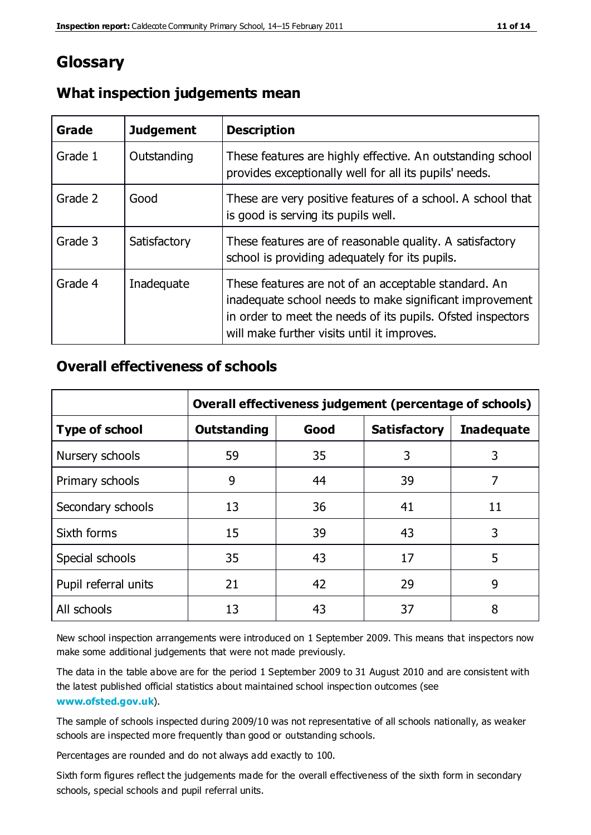## **Glossary**

| Grade   | <b>Judgement</b> | <b>Description</b>                                                                                                                                                                                                            |
|---------|------------------|-------------------------------------------------------------------------------------------------------------------------------------------------------------------------------------------------------------------------------|
| Grade 1 | Outstanding      | These features are highly effective. An outstanding school<br>provides exceptionally well for all its pupils' needs.                                                                                                          |
| Grade 2 | Good             | These are very positive features of a school. A school that<br>is good is serving its pupils well.                                                                                                                            |
| Grade 3 | Satisfactory     | These features are of reasonable quality. A satisfactory<br>school is providing adequately for its pupils.                                                                                                                    |
| Grade 4 | Inadequate       | These features are not of an acceptable standard. An<br>inadequate school needs to make significant improvement<br>in order to meet the needs of its pupils. Ofsted inspectors<br>will make further visits until it improves. |

#### **What inspection judgements mean**

#### **Overall effectiveness of schools**

|                       | Overall effectiveness judgement (percentage of schools) |      |                     |                   |
|-----------------------|---------------------------------------------------------|------|---------------------|-------------------|
| <b>Type of school</b> | <b>Outstanding</b>                                      | Good | <b>Satisfactory</b> | <b>Inadequate</b> |
| Nursery schools       | 59                                                      | 35   | 3                   | 3                 |
| Primary schools       | 9                                                       | 44   | 39                  | 7                 |
| Secondary schools     | 13                                                      | 36   | 41                  | 11                |
| Sixth forms           | 15                                                      | 39   | 43                  | 3                 |
| Special schools       | 35                                                      | 43   | 17                  | 5                 |
| Pupil referral units  | 21                                                      | 42   | 29                  | 9                 |
| All schools           | 13                                                      | 43   | 37                  | 8                 |

New school inspection arrangements were introduced on 1 September 2009. This means that inspectors now make some additional judgements that were not made previously.

The data in the table above are for the period 1 September 2009 to 31 August 2010 and are consistent with the latest published official statistics about maintained school inspec tion outcomes (see **[www.ofsted.gov.uk](http://www.ofsted.gov.uk/)**).

The sample of schools inspected during 2009/10 was not representative of all schools nationally, as weaker schools are inspected more frequently than good or outstanding schools.

Percentages are rounded and do not always add exactly to 100.

Sixth form figures reflect the judgements made for the overall effectiveness of the sixth form in secondary schools, special schools and pupil referral units.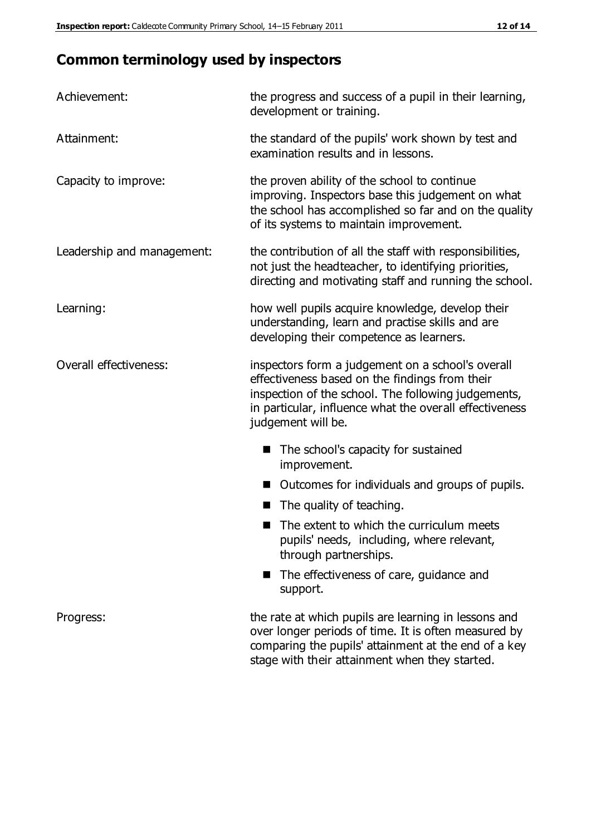# **Common terminology used by inspectors**

| Achievement:                  | the progress and success of a pupil in their learning,<br>development or training.                                                                                                                                                          |
|-------------------------------|---------------------------------------------------------------------------------------------------------------------------------------------------------------------------------------------------------------------------------------------|
| Attainment:                   | the standard of the pupils' work shown by test and<br>examination results and in lessons.                                                                                                                                                   |
| Capacity to improve:          | the proven ability of the school to continue<br>improving. Inspectors base this judgement on what<br>the school has accomplished so far and on the quality<br>of its systems to maintain improvement.                                       |
| Leadership and management:    | the contribution of all the staff with responsibilities,<br>not just the headteacher, to identifying priorities,<br>directing and motivating staff and running the school.                                                                  |
| Learning:                     | how well pupils acquire knowledge, develop their<br>understanding, learn and practise skills and are<br>developing their competence as learners.                                                                                            |
| <b>Overall effectiveness:</b> | inspectors form a judgement on a school's overall<br>effectiveness based on the findings from their<br>inspection of the school. The following judgements,<br>in particular, influence what the overall effectiveness<br>judgement will be. |
|                               | The school's capacity for sustained<br>improvement.                                                                                                                                                                                         |
|                               | Outcomes for individuals and groups of pupils.                                                                                                                                                                                              |
|                               | The quality of teaching.                                                                                                                                                                                                                    |
|                               | The extent to which the curriculum meets<br>pupils' needs, including, where relevant,<br>through partnerships.                                                                                                                              |
|                               | The effectiveness of care, guidance and<br>support.                                                                                                                                                                                         |
| Progress:                     | the rate at which pupils are learning in lessons and<br>over longer periods of time. It is often measured by<br>comparing the pupils' attainment at the end of a key                                                                        |

stage with their attainment when they started.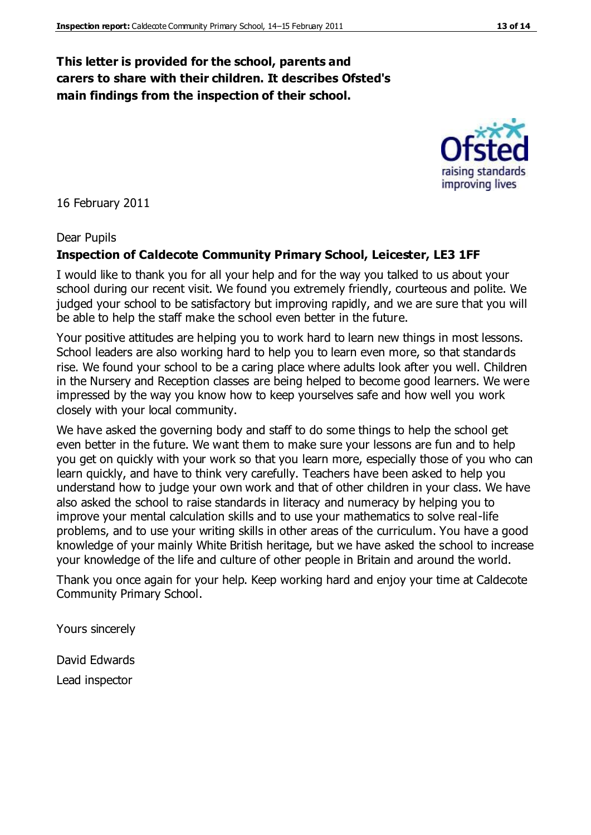#### **This letter is provided for the school, parents and carers to share with their children. It describes Ofsted's main findings from the inspection of their school.**

16 February 2011

#### Dear Pupils

#### **Inspection of Caldecote Community Primary School, Leicester, LE3 1FF**

I would like to thank you for all your help and for the way you talked to us about your school during our recent visit. We found you extremely friendly, courteous and polite. We judged your school to be satisfactory but improving rapidly, and we are sure that you will be able to help the staff make the school even better in the future.

Your positive attitudes are helping you to work hard to learn new things in most lessons. School leaders are also working hard to help you to learn even more, so that standards rise. We found your school to be a caring place where adults look after you well. Children in the Nursery and Reception classes are being helped to become good learners. We were impressed by the way you know how to keep yourselves safe and how well you work closely with your local community.

We have asked the governing body and staff to do some things to help the school get even better in the future. We want them to make sure your lessons are fun and to help you get on quickly with your work so that you learn more, especially those of you who can learn quickly, and have to think very carefully. Teachers have been asked to help you understand how to judge your own work and that of other children in your class. We have also asked the school to raise standards in literacy and numeracy by helping you to improve your mental calculation skills and to use your mathematics to solve real-life problems, and to use your writing skills in other areas of the curriculum. You have a good knowledge of your mainly White British heritage, but we have asked the school to increase your knowledge of the life and culture of other people in Britain and around the world.

Thank you once again for your help. Keep working hard and enjoy your time at Caldecote Community Primary School.

Yours sincerely

David Edwards Lead inspector